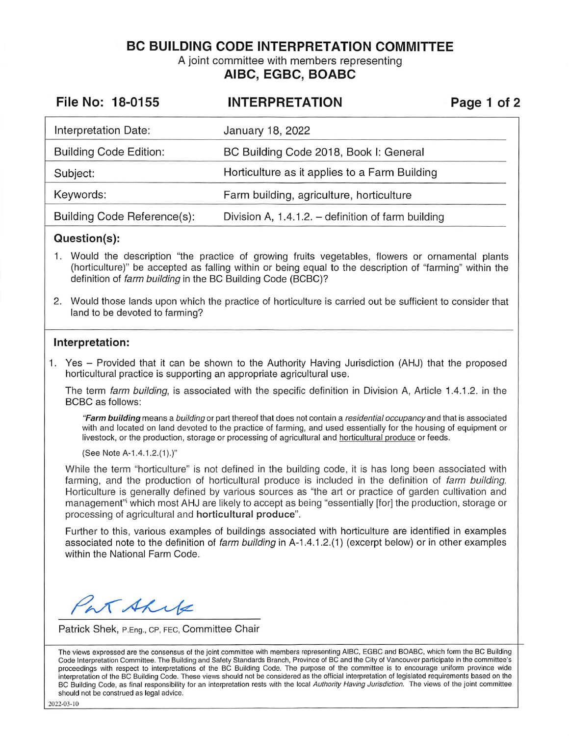**BC BUILDING CODE INTERPRETATION COMMITTEE** 

A joint committee with members representing

# **AIBC, EGBC, BOABC**

| File No: 18-0155              | <b>INTERPRETATION</b>                                | Page 1 of 2 |
|-------------------------------|------------------------------------------------------|-------------|
| Interpretation Date:          | January 18, 2022                                     |             |
| <b>Building Code Edition:</b> | BC Building Code 2018, Book I: General               |             |
| Subject:                      | Horticulture as it applies to a Farm Building        |             |
| Keywords:                     | Farm building, agriculture, horticulture             |             |
| Building Code Reference(s):   | Division A, $1.4.1.2.$ – definition of farm building |             |

## **Question(s):**

- 1. Would the description "the practice of growing fruits vegetables, flowers or ornamental plants (horticulture)" be accepted as falling within or being equal to the description of "farming" within the definition of farm building in the BC Building Code (BCBC)?
- 2. Would those lands upon which the practice of horticulture is carried out be sufficient to consider that land to be devoted to farming?

### **Interpretation:**

1. Yes - Provided that it can be shown to the Authority Having Jurisdiction (AHJ) that the proposed horticultural practice is supporting an appropriate agricultural use.

The term farm building, is associated with the specific definition in Division A, Article 1.4.1.2. in the BCBC as follows:

**"Farm building** means a building or part thereof that does not contain a residential occupancy and that is associated with and located on land devoted to the practice of farming, and used essentially for the housing of equipment or livestock, or the production, storage or processing of agricultural and horticultural produce or feeds.

(See Note A-1.4.1.2.(1).)"

While the term "horticulture" is not defined in the building code, it is has long been associated with farming, and the production of horticultural produce is included in the definition of farm building. Horticulture is generally defined by various sources as "the art or practice of garden cultivation and management"i which most AHJ are likely to accept as being "essentially [for] the production, storage or processing of agricultural and **horticultural produce".** 

Further to this, various examples of buildings associated with horticulture are identified in examples associated note to the definition of farm building in A-1.4.1.2.(1) (excerpt below) or in other examples within the National Farm Code.

Pat Ahre

Patrick Shek, P.Eng., CP, FEC, Committee Chair

The views expressed are the consensus of the joint committee with members representing AIBC, EGBC and BOABC, which form the BC Building Code Interpretation Committee. The Building and Safety Standards Branch, Province of BC and the City of Vancouver participate in the committee's proceedings with respect to interpretations of the BC Building Code. The purpose of the committee is to encourage uniform province wide interpretation of the BC Building Code. These views should not be considered as the official interpretation of legislated requirements based on the BC Building Code, as final responsibility for an interpretation rests with the local Authority Having Jurisdiction. The views of the joint committee should not be construed as legal advice.